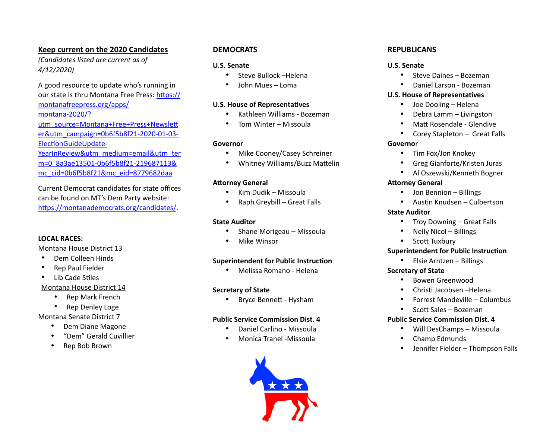## **Keep current on the 2020 Candidates**

*(Candidates listed are current as of 4/12/2020)* 

A good resource to update who's running in our state is thru Montana Free Press: https:// [montanafreepress.org/apps/](https://montanafreepress.org/apps/montana-2020/?utm_source=Montana+Free+Press+Newsletter&utm_campaign=0b6f5b8f21-2020-01-03-ElectionGuideUpdate-YearInReview&utm_medium=email&utm_term=0_8a3ae13501-0b6f5b8f21-219687113&mc_cid=0b6f5b8f21&mc_eid=8779682daa) [montana-2020/?](https://montanafreepress.org/apps/montana-2020/?utm_source=Montana+Free+Press+Newsletter&utm_campaign=0b6f5b8f21-2020-01-03-ElectionGuideUpdate-YearInReview&utm_medium=email&utm_term=0_8a3ae13501-0b6f5b8f21-219687113&mc_cid=0b6f5b8f21&mc_eid=8779682daa) utm\_source=Montana+Free+Press+Newslett [er&utm\\_campaign=0b6f5b8f21-2020-01-03-](https://montanafreepress.org/apps/montana-2020/?utm_source=Montana+Free+Press+Newsletter&utm_campaign=0b6f5b8f21-2020-01-03-ElectionGuideUpdate-YearInReview&utm_medium=email&utm_term=0_8a3ae13501-0b6f5b8f21-219687113&mc_cid=0b6f5b8f21&mc_eid=8779682daa) ElectionGuideUpdate-[YearInReview&utm\\_medium=email&utm\\_ter](https://montanafreepress.org/apps/montana-2020/?utm_source=Montana+Free+Press+Newsletter&utm_campaign=0b6f5b8f21-2020-01-03-ElectionGuideUpdate-YearInReview&utm_medium=email&utm_term=0_8a3ae13501-0b6f5b8f21-219687113&mc_cid=0b6f5b8f21&mc_eid=8779682daa) [m=0\\_8a3ae13501-0b6f5b8f21-219687113&](https://montanafreepress.org/apps/montana-2020/?utm_source=Montana+Free+Press+Newsletter&utm_campaign=0b6f5b8f21-2020-01-03-ElectionGuideUpdate-YearInReview&utm_medium=email&utm_term=0_8a3ae13501-0b6f5b8f21-219687113&mc_cid=0b6f5b8f21&mc_eid=8779682daa) [mc\\_cid=0b6f5b8f21&mc\\_eid=8779682daa](https://montanafreepress.org/apps/montana-2020/?utm_source=Montana+Free+Press+Newsletter&utm_campaign=0b6f5b8f21-2020-01-03-ElectionGuideUpdate-YearInReview&utm_medium=email&utm_term=0_8a3ae13501-0b6f5b8f21-219687113&mc_cid=0b6f5b8f21&mc_eid=8779682daa)

Current Democrat candidates for state offices can be found on MT's Dem Party website: https://montanademocrats.org/candidates/.

## **LOCAL RACES:**

#### Montana House District 13

- Dem Colleen Hinds
- Rep Paul Fielder
- Lib Cade Stiles

## Montana House District 14

- Rep Mark French
- Rep Denley Loge

## Montana Senate District 7

- Dem Diane Magone
- "Dem" Gerald Cuvillier
- Rep Bob Brown

## **DEMOCRATS**

## **U.S. Senate**

- Steve Bullock –Helena
- John Mues Loma

## **U.S. House of Representatives**

- Kathleen Williams Bozeman
- Tom Winter Missoula

## **Governo**r

- Mike Cooney/Casey Schreiner
- Whitney Williams/Buzz Mattelin

## **Attorney General**

- Kim Dudik Missoula
- Raph Greybill Great Falls

## **State Auditor**

- Shane Morigeau Missoula
- Mike Winsor

## **Superintendent for Public Instruction**

• Melissa Romano - Helena

## **Secretary of State**

**Bryce Bennett - Hysham** 

## **Public Service Commission Dist. 4**

- Daniel Carlino Missoula
- Monica Tranel -Missoula



## **REPUBLICANS**

## **U.S. Senate**

- Steve Daines Bozeman
- Daniel Larson Bozeman

## **U.S. House of Representatives**

- Joe Dooling Helena
- Debra Lamm Livingston
- Matt Rosendale Glendive
- Corey Stapleton Great Falls

## **Governo**r

- Tim Fox/Jon Knokey
- Greg Gianforte/Kristen Juras
- Al Oszewski/Kenneth Bogner

## **Attorney General**

- Jon Bennion Billings
- Austin Knudsen Culbertson

## **State Auditor**

- Troy Downing Great Falls
- Nelly Nicol Billings
- Scott Tuxbury

## **Superintendent for Public Instruction**

• Elsie Arntzen – Billings

## **Secretary of State**

- Bowen Greenwood
- Christi Jacobsen –Helena
- Forrest Mandeville Columbus
- Scott Sales Bozeman

## **Public Service Commission Dist. 4**

- Will DesChamps Missoula
- Champ Edmunds
- Jennifer Fielder Thompson Falls